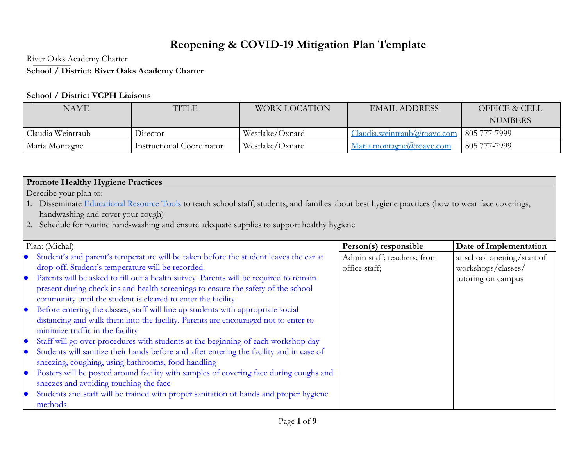## Reopening & COVID-19 Mitigation Plan Template

River Oaks Academy Charter

## School / District: River Oaks Academy Charter

## **School / District VCPH Liaisons**

| NAME                          | TITLE                     | <b>WORK LOCATION</b> | <b>EMAIL ADDRESS</b>        | OFFICE & CELL  |
|-------------------------------|---------------------------|----------------------|-----------------------------|----------------|
|                               |                           |                      |                             | <b>NUMBERS</b> |
| Claudia Weintraub<br>Director |                           | Westlake/Oxnard      | Claudia.weintraub@roavc.com | 805 777-7999   |
| Maria Montagne                | Instructional Coordinator | Westlake/Oxnard      | Maria.montagne(a)roavc.com  | 805 777-7999   |

## **Promote Healthy Hygiene Practices**

Describe your plan to:

- 1. Disseminate Educational Resource Tools to teach school staff, students, and families about best hygiene practices (how to wear face coverings, handwashing and cover your cough)
- 2. Schedule for routine hand-washing and ensure adequate supplies to support healthy hygiene

|           | Plan: (Michal)                                                                           | Person(s) responsible        | Date of Implementation     |
|-----------|------------------------------------------------------------------------------------------|------------------------------|----------------------------|
|           | Student's and parent's temperature will be taken before the student leaves the car at    | Admin staff; teachers; front | at school opening/start of |
|           | drop-off. Student's temperature will be recorded.                                        | office staff;                | workshops/classes/         |
| $\bullet$ | Parents will be asked to fill out a health survey. Parents will be required to remain    |                              | tutoring on campus         |
|           | present during check ins and health screenings to ensure the safety of the school        |                              |                            |
|           | community until the student is cleared to enter the facility                             |                              |                            |
| $\bullet$ | Before entering the classes, staff will line up students with appropriate social         |                              |                            |
|           | distancing and walk them into the facility. Parents are encouraged not to enter to       |                              |                            |
|           | minimize traffic in the facility                                                         |                              |                            |
| $\bullet$ | Staff will go over procedures with students at the beginning of each workshop day        |                              |                            |
| $\bullet$ | Students will sanitize their hands before and after entering the facility and in case of |                              |                            |
|           | sneezing, coughing, using bathrooms, food handling                                       |                              |                            |
| $\bullet$ | Posters will be posted around facility with samples of covering face during coughs and   |                              |                            |
|           | sneezes and avoiding touching the face                                                   |                              |                            |
| $\bullet$ | Students and staff will be trained with proper sanitation of hands and proper hygiene    |                              |                            |
|           | methods                                                                                  |                              |                            |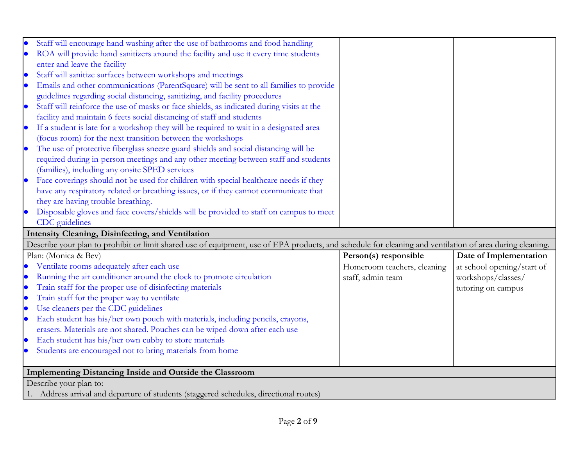|           | Staff will encourage hand washing after the use of bathrooms and food handling                                                                           |                             |                            |
|-----------|----------------------------------------------------------------------------------------------------------------------------------------------------------|-----------------------------|----------------------------|
| $\bullet$ | ROA will provide hand sanitizers around the facility and use it every time students                                                                      |                             |                            |
|           | enter and leave the facility                                                                                                                             |                             |                            |
| $\bullet$ | Staff will sanitize surfaces between workshops and meetings                                                                                              |                             |                            |
| $\bullet$ | Emails and other communications (ParentSquare) will be sent to all families to provide                                                                   |                             |                            |
|           | guidelines regarding social distancing, sanitizing, and facility procedures                                                                              |                             |                            |
| $\bullet$ | Staff will reinforce the use of masks or face shields, as indicated during visits at the                                                                 |                             |                            |
|           | facility and maintain 6 feets social distancing of staff and students                                                                                    |                             |                            |
| $\bullet$ | If a student is late for a workshop they will be required to wait in a designated area                                                                   |                             |                            |
|           | (focus room) for the next transition between the workshops                                                                                               |                             |                            |
| $\bullet$ | The use of protective fiberglass sneeze guard shields and social distancing will be                                                                      |                             |                            |
|           | required during in-person meetings and any other meeting between staff and students                                                                      |                             |                            |
|           | (families), including any onsite SPED services                                                                                                           |                             |                            |
| $\bullet$ | Face coverings should not be used for children with special healthcare needs if they                                                                     |                             |                            |
|           | have any respiratory related or breathing issues, or if they cannot communicate that                                                                     |                             |                            |
|           | they are having trouble breathing.                                                                                                                       |                             |                            |
| $\bullet$ | Disposable gloves and face covers/shields will be provided to staff on campus to meet                                                                    |                             |                            |
|           |                                                                                                                                                          |                             |                            |
|           | CDC guidelines                                                                                                                                           |                             |                            |
|           | Intensity Cleaning, Disinfecting, and Ventilation                                                                                                        |                             |                            |
|           | Describe your plan to prohibit or limit shared use of equipment, use of EPA products, and schedule for cleaning and ventilation of area during cleaning. |                             |                            |
|           | Plan: (Monica & Bev)                                                                                                                                     | Person(s) responsible       | Date of Implementation     |
|           | Ventilate rooms adequately after each use                                                                                                                | Homeroom teachers, cleaning | at school opening/start of |
| $\bullet$ | Running the air conditioner around the clock to promote circulation                                                                                      | staff, admin team           | workshops/classes/         |
| $\bullet$ | Train staff for the proper use of disinfecting materials                                                                                                 |                             | tutoring on campus         |
| $\bullet$ | Train staff for the proper way to ventilate                                                                                                              |                             |                            |
| $\bullet$ | Use cleaners per the CDC guidelines                                                                                                                      |                             |                            |
| $\bullet$ | Each student has his/her own pouch with materials, including pencils, crayons,                                                                           |                             |                            |
|           | erasers. Materials are not shared. Pouches can be wiped down after each use                                                                              |                             |                            |
| $\bullet$ | Each student has his/her own cubby to store materials                                                                                                    |                             |                            |
| $\bullet$ | Students are encouraged not to bring materials from home                                                                                                 |                             |                            |
|           |                                                                                                                                                          |                             |                            |
|           | Implementing Distancing Inside and Outside the Classroom                                                                                                 |                             |                            |
|           | Describe your plan to:<br>1. Address arrival and departure of students (staggered schedules, directional routes)                                         |                             |                            |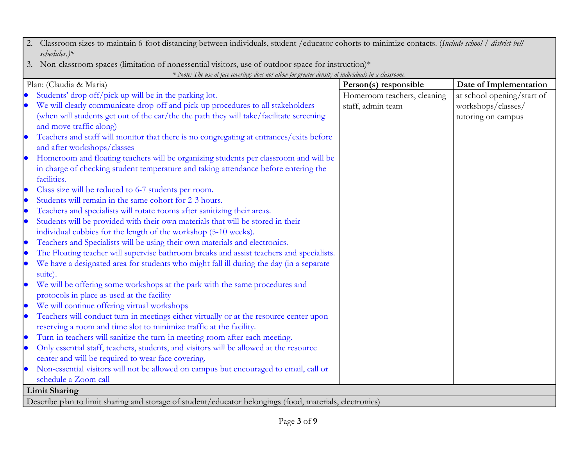| 2. Classroom sizes to maintain 6-foot distancing between individuals, student /educator cohorts to minimize contacts. (Include school / district bell |  |
|-------------------------------------------------------------------------------------------------------------------------------------------------------|--|
| schedules. $)$ *                                                                                                                                      |  |

3. Non-classroom spaces (limitation of nonessential visitors, use of outdoor space for instruction)\*

| $*$ Note: The use of face coverings does not allow for greater density of individuals in a classroom.<br>Plan: (Claudia & Maria) | Person(s) responsible       | Date of Implementation     |
|----------------------------------------------------------------------------------------------------------------------------------|-----------------------------|----------------------------|
| Students' drop off/pick up will be in the parking lot.                                                                           | Homeroom teachers, cleaning | at school opening/start of |
| We will clearly communicate drop-off and pick-up procedures to all stakeholders                                                  | staff, admin team           | workshops/classes/         |
| (when will students get out of the car/the the path they will take/facilitate screening                                          |                             | tutoring on campus         |
| and move traffic along)                                                                                                          |                             |                            |
| Teachers and staff will monitor that there is no congregating at entrances/exits before                                          |                             |                            |
| and after workshops/classes                                                                                                      |                             |                            |
| Homeroom and floating teachers will be organizing students per classroom and will be                                             |                             |                            |
| in charge of checking student temperature and taking attendance before entering the                                              |                             |                            |
| facilities.                                                                                                                      |                             |                            |
| Class size will be reduced to 6-7 students per room.                                                                             |                             |                            |
| Students will remain in the same cohort for 2-3 hours.                                                                           |                             |                            |
| Teachers and specialists will rotate rooms after sanitizing their areas.                                                         |                             |                            |
| Students will be provided with their own materials that will be stored in their<br>$\bullet$                                     |                             |                            |
| individual cubbies for the length of the workshop (5-10 weeks).                                                                  |                             |                            |
| Teachers and Specialists will be using their own materials and electronics.                                                      |                             |                            |
| The Floating teacher will supervise bathroom breaks and assist teachers and specialists.                                         |                             |                            |
| We have a designated area for students who might fall ill during the day (in a separate                                          |                             |                            |
| suite).                                                                                                                          |                             |                            |
| We will be offering some workshops at the park with the same procedures and                                                      |                             |                            |
| protocols in place as used at the facility                                                                                       |                             |                            |
| We will continue offering virtual workshops<br>$\bullet$                                                                         |                             |                            |
| Teachers will conduct turn-in meetings either virtually or at the resource center upon                                           |                             |                            |
| reserving a room and time slot to minimize traffic at the facility.                                                              |                             |                            |
| Turn-in teachers will sanitize the turn-in meeting room after each meeting.<br>$\bullet$                                         |                             |                            |
| Only essential staff, teachers, students, and visitors will be allowed at the resource                                           |                             |                            |
| center and will be required to wear face covering.                                                                               |                             |                            |
| Non-essential visitors will not be allowed on campus but encouraged to email, call or                                            |                             |                            |
| schedule a Zoom call                                                                                                             |                             |                            |
| <b>Limit Sharing</b>                                                                                                             |                             |                            |
| Describe plan to limit sharing and storage of student/educator belongings (food, materials, electronics)                         |                             |                            |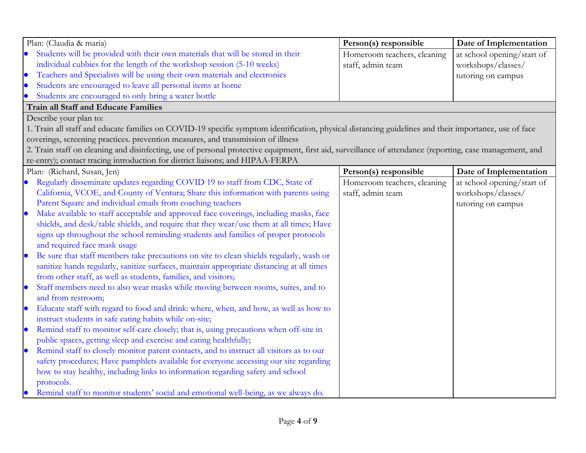| Plan: (Claudia & maria)                                                                                                                                   | Person(s) responsible       | Date of Implementation     |
|-----------------------------------------------------------------------------------------------------------------------------------------------------------|-----------------------------|----------------------------|
| Students will be provided with their own materials that will be stored in their                                                                           | Homeroom teachers, cleaning | at school opening/start of |
| individual cubbies for the length of the workshop session (5-10 weeks)                                                                                    | staff, admin team           | workshops/classes/         |
| Teachers and Specialists will be using their own materials and electronics                                                                                |                             | tutoring on campus         |
| Students are encouraged to leave all personal items at home                                                                                               |                             |                            |
| Students are encouraged to only bring a water bottle                                                                                                      |                             |                            |
| <b>Train all Staff and Educate Families</b>                                                                                                               |                             |                            |
| Describe your plan to:                                                                                                                                    |                             |                            |
| 1. Train all staff and educate families on COVID-19 specific symptom identification, physical distancing guidelines and their importance, use of face     |                             |                            |
| coverings, screening practices. prevention measures, and transmission of illness                                                                          |                             |                            |
| 2. Train staff on cleaning and disinfecting, use of personal protective equipment, first aid, surveillance of attendance (reporting, case management, and |                             |                            |
| re-entry); contact tracing introduction for district liaisons; and HIPAA-FERPA                                                                            |                             |                            |
| Plan: (Richard, Susan, Jen)                                                                                                                               | Person(s) responsible       | Date of Implementation     |
| Regularly disseminate updates regarding COVID 19 to staff from CDC, State of                                                                              | Homeroom teachers, cleaning | at school opening/start of |
| California, VCOE, and County of Ventura; Share this information with parents using                                                                        | staff, admin team           | workshops/classes/         |
| Parent Square and individual emails from coaching teachers                                                                                                |                             | tutoring on campus         |
| Make available to staff acceptable and approved face coverings, including masks, face                                                                     |                             |                            |
| shields, and desk/table shields, and require that they wear/use them at all times; Have                                                                   |                             |                            |
| signs up throughout the school reminding students and families of proper protocols                                                                        |                             |                            |
| and required face mask usage                                                                                                                              |                             |                            |
| Be sure that staff members take precautions on site to clean shields regularly, wash or                                                                   |                             |                            |
| sanitize hands regularly, sanitize surfaces, maintain appropriate distancing at all times                                                                 |                             |                            |
| from other staff, as well as students, families, and visitors;                                                                                            |                             |                            |
| Staff members need to also wear masks while moving between rooms, suites, and to                                                                          |                             |                            |
| and from restroom;                                                                                                                                        |                             |                            |
| Educate staff with regard to food and drink: where, when, and how, as well as how to                                                                      |                             |                            |
| instruct students in safe eating habits while on-site;                                                                                                    |                             |                            |
| Remind staff to monitor self-care closely; that is, using precautions when off-site in<br>$\bullet$                                                       |                             |                            |
| public spaces, getting sleep and exercise and eating healthfully;                                                                                         |                             |                            |
| Remind staff to closely monitor parent contacts, and to instruct all visitors as to our                                                                   |                             |                            |
| safety procedures; Have pamphlets available for everyone accessing our site regarding                                                                     |                             |                            |
| how to stay healthy, including links to information regarding safety and school                                                                           |                             |                            |
| protocols.                                                                                                                                                |                             |                            |
| Remind staff to monitor students' social and emotional well-being, as we always do.                                                                       |                             |                            |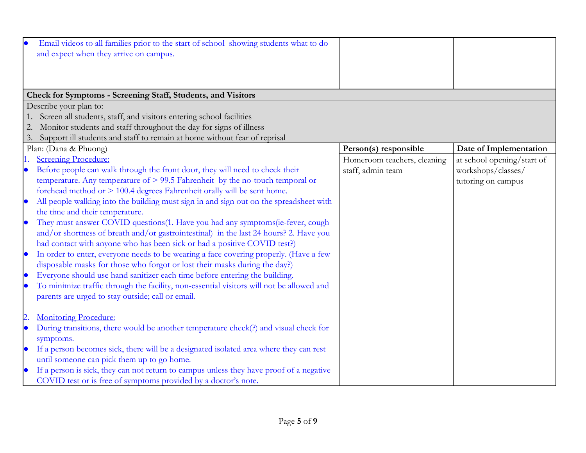|           | Email videos to all families prior to the start of school showing students what to do<br>and expect when they arrive on campus.           |                             |                            |
|-----------|-------------------------------------------------------------------------------------------------------------------------------------------|-----------------------------|----------------------------|
|           | Check for Symptoms - Screening Staff, Students, and Visitors                                                                              |                             |                            |
|           | Describe your plan to:                                                                                                                    |                             |                            |
|           | Screen all students, staff, and visitors entering school facilities<br>Monitor students and staff throughout the day for signs of illness |                             |                            |
|           | Support ill students and staff to remain at home without fear of reprisal                                                                 |                             |                            |
| 3.        | Plan: (Dana & Phuong)                                                                                                                     | Person(s) responsible       | Date of Implementation     |
|           | <b>Screening Procedure:</b>                                                                                                               | Homeroom teachers, cleaning | at school opening/start of |
| $\bullet$ | Before people can walk through the front door, they will need to check their                                                              | staff, admin team           | workshops/classes/         |
|           | temperature. Any temperature of $> 99.5$ Fahrenheit by the no-touch temporal or                                                           |                             | tutoring on campus         |
|           | forehead method or $> 100.4$ degrees Fahrenheit orally will be sent home.                                                                 |                             |                            |
| $\bullet$ | All people walking into the building must sign in and sign out on the spreadsheet with                                                    |                             |                            |
|           | the time and their temperature.                                                                                                           |                             |                            |
| $\bullet$ | They must answer COVID questions (1. Have you had any symptoms (ie-fever, cough                                                           |                             |                            |
|           | and/or shortness of breath and/or gastrointestinal) in the last 24 hours? 2. Have you                                                     |                             |                            |
|           | had contact with anyone who has been sick or had a positive COVID test?)                                                                  |                             |                            |
| $\bullet$ | In order to enter, everyone needs to be wearing a face covering properly. (Have a few                                                     |                             |                            |
|           | disposable masks for those who forgot or lost their masks during the day?)                                                                |                             |                            |
|           | Everyone should use hand sanitizer each time before entering the building.                                                                |                             |                            |
|           | To minimize traffic through the facility, non-essential visitors will not be allowed and                                                  |                             |                            |
|           | parents are urged to stay outside; call or email.                                                                                         |                             |                            |
|           |                                                                                                                                           |                             |                            |
| 2         | <b>Monitoring Procedure:</b>                                                                                                              |                             |                            |
| $\bullet$ | During transitions, there would be another temperature check(?) and visual check for                                                      |                             |                            |
|           | symptoms.                                                                                                                                 |                             |                            |
| $\bullet$ | If a person becomes sick, there will be a designated isolated area where they can rest                                                    |                             |                            |
|           | until someone can pick them up to go home.                                                                                                |                             |                            |
| $\bullet$ | If a person is sick, they can not return to campus unless they have proof of a negative                                                   |                             |                            |
|           | COVID test or is free of symptoms provided by a doctor's note.                                                                            |                             |                            |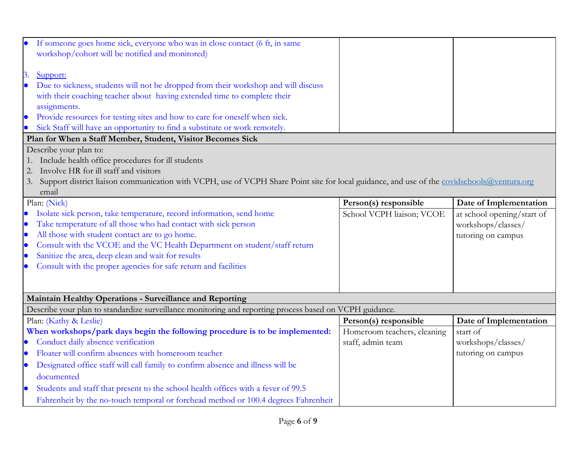|           | If someone goes home sick, everyone who was in close contact (6 ft, in same<br>workshop/cohort will be notified and monitored)             |                             |                            |
|-----------|--------------------------------------------------------------------------------------------------------------------------------------------|-----------------------------|----------------------------|
| 3.        | Support:                                                                                                                                   |                             |                            |
|           | Due to sickness, students will not be dropped from their workshop and will discuss                                                         |                             |                            |
|           | with their coaching teacher about having extended time to complete their                                                                   |                             |                            |
|           | assignments.                                                                                                                               |                             |                            |
|           | Provide resources for testing sites and how to care for oneself when sick.                                                                 |                             |                            |
|           | Sick Staff will have an opportunity to find a substitute or work remotely.                                                                 |                             |                            |
|           | Plan for When a Staff Member, Student, Visitor Becomes Sick                                                                                |                             |                            |
|           | Describe your plan to:                                                                                                                     |                             |                            |
|           | 1. Include health office procedures for ill students                                                                                       |                             |                            |
| 2.        | Involve HR for ill staff and visitors                                                                                                      |                             |                            |
| 3.        | Support district liaison communication with VCPH, use of VCPH Share Point site for local guidance, and use of the covidschools@ventura.org |                             |                            |
|           | email                                                                                                                                      |                             |                            |
|           | Plan: (Nick)                                                                                                                               | Person(s) responsible       | Date of Implementation     |
| $\bullet$ | Isolate sick person, take temperature, record information, send home                                                                       | School VCPH liaison; VCOE   | at school opening/start of |
| $\bullet$ | Take temperature of all those who had contact with sick person                                                                             |                             | workshops/classes/         |
| $\bullet$ | All those with student contact are to go home.                                                                                             |                             | tutoring on campus         |
| $\bullet$ | Consult with the VCOE and the VC Health Department on student/staff return                                                                 |                             |                            |
| $\bullet$ | Sanitize the area, deep clean and wait for results                                                                                         |                             |                            |
|           | Consult with the proper agencies for safe return and facilities                                                                            |                             |                            |
|           |                                                                                                                                            |                             |                            |
|           |                                                                                                                                            |                             |                            |
|           | Maintain Healthy Operations - Surveillance and Reporting                                                                                   |                             |                            |
|           |                                                                                                                                            |                             |                            |
|           | Describe your plan to standardize surveillance monitoring and reporting process based on VCPH guidance.                                    |                             |                            |
|           | Plan: (Kathy & Leslie)                                                                                                                     | Person(s) responsible       | Date of Implementation     |
|           | When workshops/park days begin the following procedure is to be implemented:                                                               | Homeroom teachers, cleaning | start of                   |
| $\bullet$ | Conduct daily absence verification                                                                                                         | staff, admin team           | workshops/classes/         |
| $\bullet$ | Floater will confirm absences with homeroom teacher                                                                                        |                             | tutoring on campus         |
| $\bullet$ | Designated office staff will call family to confirm absence and illness will be                                                            |                             |                            |
|           | documented                                                                                                                                 |                             |                            |
| $\bullet$ | Students and staff that present to the school health offices with a fever of 99.5                                                          |                             |                            |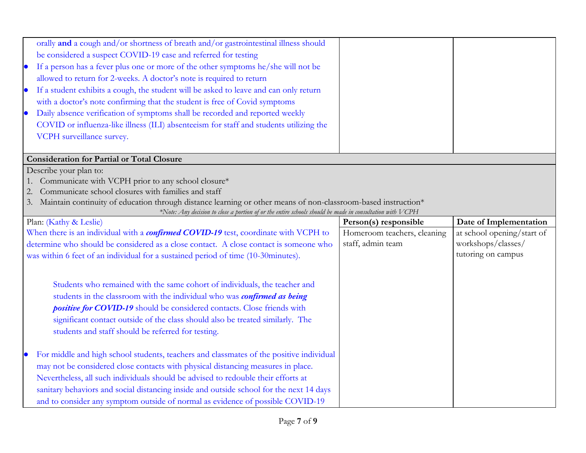| $\bullet$ | orally and a cough and/or shortness of breath and/or gastrointestinal illness should<br>be considered a suspect COVID-19 case and referred for testing<br>If a person has a fever plus one or more of the other symptoms he/she will not be<br>allowed to return for 2-weeks. A doctor's note is required to return<br>If a student exhibits a cough, the student will be asked to leave and can only return<br>with a doctor's note confirming that the student is free of Covid symptoms<br>Daily absence verification of symptoms shall be recorded and reported weekly |                             |                            |
|-----------|----------------------------------------------------------------------------------------------------------------------------------------------------------------------------------------------------------------------------------------------------------------------------------------------------------------------------------------------------------------------------------------------------------------------------------------------------------------------------------------------------------------------------------------------------------------------------|-----------------------------|----------------------------|
|           | COVID or influenza-like illness (ILI) absenteeism for staff and students utilizing the                                                                                                                                                                                                                                                                                                                                                                                                                                                                                     |                             |                            |
|           | VCPH surveillance survey.                                                                                                                                                                                                                                                                                                                                                                                                                                                                                                                                                  |                             |                            |
|           | <b>Consideration for Partial or Total Closure</b>                                                                                                                                                                                                                                                                                                                                                                                                                                                                                                                          |                             |                            |
|           | Describe your plan to:                                                                                                                                                                                                                                                                                                                                                                                                                                                                                                                                                     |                             |                            |
|           | 1. Communicate with VCPH prior to any school closure*                                                                                                                                                                                                                                                                                                                                                                                                                                                                                                                      |                             |                            |
|           | Communicate school closures with families and staff                                                                                                                                                                                                                                                                                                                                                                                                                                                                                                                        |                             |                            |
| 3.        | Maintain continuity of education through distance learning or other means of non-classroom-based instruction*<br>*Note: Any decision to close a portion of or the entire schools should be made in consultation with VCPH                                                                                                                                                                                                                                                                                                                                                  |                             |                            |
|           | Plan: (Kathy & Leslie)                                                                                                                                                                                                                                                                                                                                                                                                                                                                                                                                                     | Person(s) responsible       | Date of Implementation     |
|           | When there is an individual with a confirmed COVID-19 test, coordinate with VCPH to                                                                                                                                                                                                                                                                                                                                                                                                                                                                                        | Homeroom teachers, cleaning | at school opening/start of |
|           | determine who should be considered as a close contact. A close contact is someone who                                                                                                                                                                                                                                                                                                                                                                                                                                                                                      | staff, admin team           | workshops/classes/         |
|           | was within 6 feet of an individual for a sustained period of time (10-30minutes).                                                                                                                                                                                                                                                                                                                                                                                                                                                                                          |                             | tutoring on campus         |
|           |                                                                                                                                                                                                                                                                                                                                                                                                                                                                                                                                                                            |                             |                            |
|           | Students who remained with the same cohort of individuals, the teacher and                                                                                                                                                                                                                                                                                                                                                                                                                                                                                                 |                             |                            |
|           | students in the classroom with the individual who was confirmed as being                                                                                                                                                                                                                                                                                                                                                                                                                                                                                                   |                             |                            |
|           | positive for COVID-19 should be considered contacts. Close friends with                                                                                                                                                                                                                                                                                                                                                                                                                                                                                                    |                             |                            |
|           | significant contact outside of the class should also be treated similarly. The                                                                                                                                                                                                                                                                                                                                                                                                                                                                                             |                             |                            |
|           | students and staff should be referred for testing.                                                                                                                                                                                                                                                                                                                                                                                                                                                                                                                         |                             |                            |
|           |                                                                                                                                                                                                                                                                                                                                                                                                                                                                                                                                                                            |                             |                            |
|           | For middle and high school students, teachers and classmates of the positive individual                                                                                                                                                                                                                                                                                                                                                                                                                                                                                    |                             |                            |
|           | may not be considered close contacts with physical distancing measures in place.                                                                                                                                                                                                                                                                                                                                                                                                                                                                                           |                             |                            |
|           | Nevertheless, all such individuals should be advised to redouble their efforts at                                                                                                                                                                                                                                                                                                                                                                                                                                                                                          |                             |                            |
|           | sanitary behaviors and social distancing inside and outside school for the next 14 days                                                                                                                                                                                                                                                                                                                                                                                                                                                                                    |                             |                            |
|           | and to consider any symptom outside of normal as evidence of possible COVID-19                                                                                                                                                                                                                                                                                                                                                                                                                                                                                             |                             |                            |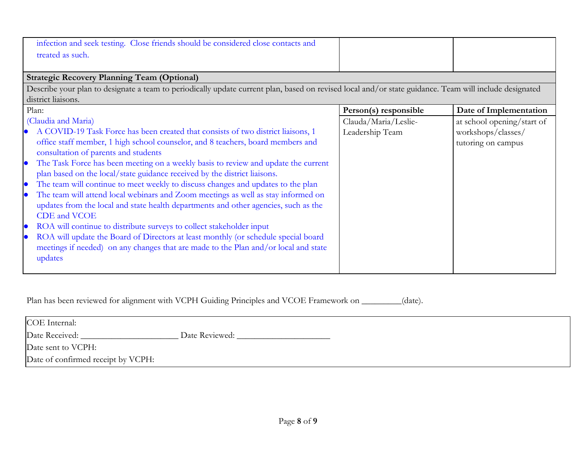| infection and seek testing. Close friends should be considered close contacts and<br>treated as such.                                                                                                                                                                                                                                                                                                                                                                                                                                                                                                                                                                                                                                                                                                                                                                                                                                                                                                                                        |                                                                  |                                                                                                  |
|----------------------------------------------------------------------------------------------------------------------------------------------------------------------------------------------------------------------------------------------------------------------------------------------------------------------------------------------------------------------------------------------------------------------------------------------------------------------------------------------------------------------------------------------------------------------------------------------------------------------------------------------------------------------------------------------------------------------------------------------------------------------------------------------------------------------------------------------------------------------------------------------------------------------------------------------------------------------------------------------------------------------------------------------|------------------------------------------------------------------|--------------------------------------------------------------------------------------------------|
| <b>Strategic Recovery Planning Team (Optional)</b>                                                                                                                                                                                                                                                                                                                                                                                                                                                                                                                                                                                                                                                                                                                                                                                                                                                                                                                                                                                           |                                                                  |                                                                                                  |
| Describe your plan to designate a team to periodically update current plan, based on revised local and/or state guidance. Team will include designated<br>district liaisons.                                                                                                                                                                                                                                                                                                                                                                                                                                                                                                                                                                                                                                                                                                                                                                                                                                                                 |                                                                  |                                                                                                  |
|                                                                                                                                                                                                                                                                                                                                                                                                                                                                                                                                                                                                                                                                                                                                                                                                                                                                                                                                                                                                                                              |                                                                  |                                                                                                  |
| Plan:<br>(Claudia and Maria)<br>A COVID-19 Task Force has been created that consists of two district liaisons, 1<br>$\bullet$<br>office staff member, 1 high school counselor, and 8 teachers, board members and<br>consultation of parents and students<br>The Task Force has been meeting on a weekly basis to review and update the current<br>$\bullet$<br>plan based on the local/state guidance received by the district liaisons.<br>The team will continue to meet weekly to discuss changes and updates to the plan<br>$\bullet$<br>The team will attend local webinars and Zoom meetings as well as stay informed on<br>$\bullet$<br>updates from the local and state health departments and other agencies, such as the<br>CDE and VCOE<br>ROA will continue to distribute surveys to collect stakeholder input<br>$\bullet$<br>ROA will update the Board of Directors at least monthly (or schedule special board<br>$\bullet$<br>meetings if needed) on any changes that are made to the Plan and/or local and state<br>updates | Person(s) responsible<br>Clauda/Maria/Leslie-<br>Leadership Team | Date of Implementation<br>at school opening/start of<br>workshops/classes/<br>tutoring on campus |

Plan has been reviewed for alignment with VCPH Guiding Principles and VCOE Framework on \_\_\_\_\_\_\_(date).

| COE Internal:                      |                |
|------------------------------------|----------------|
| Date Received:                     | Date Reviewed: |
| Date sent to VCPH:                 |                |
| Date of confirmed receipt by VCPH: |                |